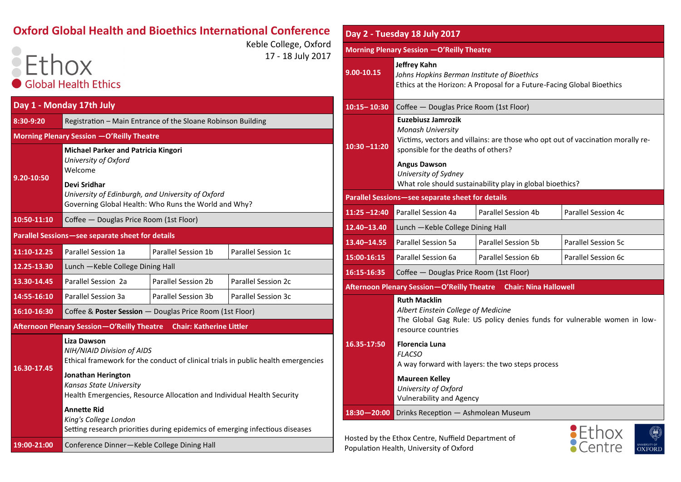## **Oxford Global Health and Bioethics International Conference**

Keble College, Oxford 17 - 18 July 2017

## **Ethox Global Health Ethics**

| Day 1 - Monday 17th July                         |                                                                                                                                       |                                 |                     |  |  |  |
|--------------------------------------------------|---------------------------------------------------------------------------------------------------------------------------------------|---------------------------------|---------------------|--|--|--|
| 8:30-9:20                                        | Registration - Main Entrance of the Sloane Robinson Building                                                                          |                                 |                     |  |  |  |
|                                                  | Morning Plenary Session - O'Reilly Theatre                                                                                            |                                 |                     |  |  |  |
| 9.20-10:50                                       | <b>Michael Parker and Patricia Kingori</b><br>University of Oxford<br>Welcome                                                         |                                 |                     |  |  |  |
|                                                  | Devi Sridhar<br>University of Edinburgh, and University of Oxford<br>Governing Global Health: Who Runs the World and Why?             |                                 |                     |  |  |  |
| 10:50-11:10                                      | Coffee - Douglas Price Room (1st Floor)                                                                                               |                                 |                     |  |  |  |
| Parallel Sessions-see separate sheet for details |                                                                                                                                       |                                 |                     |  |  |  |
| 11:10-12.25                                      | Parallel Session 1a                                                                                                                   | Parallel Session 1b             | Parallel Session 1c |  |  |  |
| 12.25-13.30                                      | Lunch - Keble College Dining Hall                                                                                                     |                                 |                     |  |  |  |
| 13.30-14.45                                      | Parallel Session 2a                                                                                                                   | Parallel Session 2b             | Parallel Session 2c |  |  |  |
| 14:55-16:10                                      | Parallel Session 3a                                                                                                                   | Parallel Session 3b             | Parallel Session 3c |  |  |  |
| 16:10-16:30                                      | Coffee & Poster Session - Douglas Price Room (1st Floor)                                                                              |                                 |                     |  |  |  |
|                                                  | <b>Afternoon Plenary Session-O'Reilly Theatre</b>                                                                                     | <b>Chair: Katherine Littler</b> |                     |  |  |  |
| 16.30-17.45                                      | <b>Liza Dawson</b><br>NIH/NIAID Division of AIDS<br>Ethical framework for the conduct of clinical trials in public health emergencies |                                 |                     |  |  |  |
|                                                  | <b>Jonathan Herington</b><br>Kansas State University<br>Health Emergencies, Resource Allocation and Individual Health Security        |                                 |                     |  |  |  |
|                                                  | <b>Annette Rid</b><br>King's College London<br>Setting research priorities during epidemics of emerging infectious diseases           |                                 |                     |  |  |  |
| 19:00-21:00                                      | Conference Dinner-Keble College Dining Hall                                                                                           |                                 |                     |  |  |  |

| Day 2 - Tuesday 18 July 2017                     |                                                                                                                                                                                                                                                                                                                                                |                              |                     |  |  |  |
|--------------------------------------------------|------------------------------------------------------------------------------------------------------------------------------------------------------------------------------------------------------------------------------------------------------------------------------------------------------------------------------------------------|------------------------------|---------------------|--|--|--|
| Morning Plenary Session - O'Reilly Theatre       |                                                                                                                                                                                                                                                                                                                                                |                              |                     |  |  |  |
| $9.00 - 10.15$                                   | <b>Jeffrey Kahn</b><br>Johns Hopkins Berman Institute of Bioethics<br>Ethics at the Horizon: A Proposal for a Future-Facing Global Bioethics                                                                                                                                                                                                   |                              |                     |  |  |  |
| $10:15 - 10:30$                                  | Coffee - Douglas Price Room (1st Floor)                                                                                                                                                                                                                                                                                                        |                              |                     |  |  |  |
| $10:30 - 11:20$                                  | Euzebiusz Jamrozik<br>Monash University<br>Victims, vectors and villains: are those who opt out of vaccination morally re-<br>sponsible for the deaths of others?<br><b>Angus Dawson</b><br>University of Sydney<br>What role should sustainability play in global bioethics?                                                                  |                              |                     |  |  |  |
| Parallel Sessions-see separate sheet for details |                                                                                                                                                                                                                                                                                                                                                |                              |                     |  |  |  |
| $11:25 - 12:40$                                  | Parallel Session 4a                                                                                                                                                                                                                                                                                                                            | Parallel Session 4b          | Parallel Session 4c |  |  |  |
| 12.40-13.40                                      | Lunch - Keble College Dining Hall                                                                                                                                                                                                                                                                                                              |                              |                     |  |  |  |
| 13.40 - 14.55                                    | Parallel Session 5a                                                                                                                                                                                                                                                                                                                            | Parallel Session 5b          | Parallel Session 5c |  |  |  |
| 15:00-16:15                                      | Parallel Session 6a                                                                                                                                                                                                                                                                                                                            | Parallel Session 6b          | Parallel Session 6c |  |  |  |
| 16:15-16:35                                      | Coffee - Douglas Price Room (1st Floor)                                                                                                                                                                                                                                                                                                        |                              |                     |  |  |  |
|                                                  | <b>Afternoon Plenary Session-O'Reilly Theatre</b>                                                                                                                                                                                                                                                                                              | <b>Chair: Nina Hallowell</b> |                     |  |  |  |
| 16.35-17:50                                      | <b>Ruth Macklin</b><br>Albert Einstein College of Medicine<br>The Global Gag Rule: US policy denies funds for vulnerable women in low-<br>resource countries<br><b>Florencia Luna</b><br><b>FLACSO</b><br>A way forward with layers: the two steps process<br><b>Maureen Kelley</b><br>University of Oxford<br><b>Vulnerability and Agency</b> |                              |                     |  |  |  |
| $18:30 - 20:00$                                  | Drinks Reception - Ashmolean Museum                                                                                                                                                                                                                                                                                                            |                              |                     |  |  |  |

Hosted by the Ethox Centre, Nuffield Department of Population Health, University of Oxford

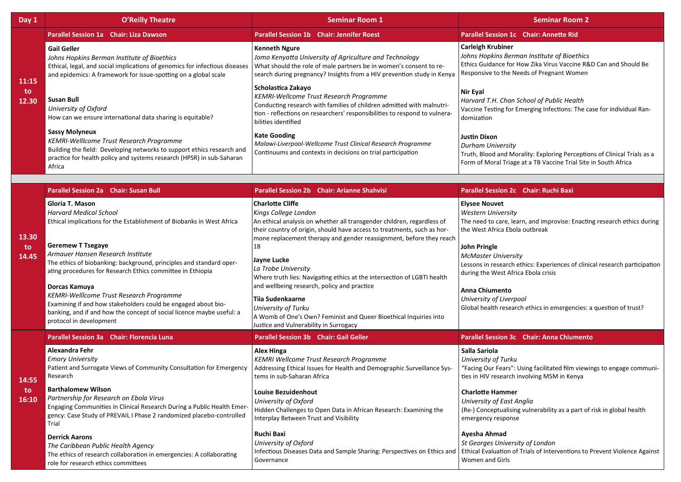| Day 1                 | <b>O'Reilly Theatre</b>                                                                                                                                                                                                                                                                                                                                                                                                                                                                                                                                           | <b>Seminar Room 1</b>                                                                                                                                                                                                                                                                                                                                                                                                                                                                                                                                                                                       | <b>Seminar Room 2</b>                                                                                                                                                                                                                                                                                                                                                                                                                                       |
|-----------------------|-------------------------------------------------------------------------------------------------------------------------------------------------------------------------------------------------------------------------------------------------------------------------------------------------------------------------------------------------------------------------------------------------------------------------------------------------------------------------------------------------------------------------------------------------------------------|-------------------------------------------------------------------------------------------------------------------------------------------------------------------------------------------------------------------------------------------------------------------------------------------------------------------------------------------------------------------------------------------------------------------------------------------------------------------------------------------------------------------------------------------------------------------------------------------------------------|-------------------------------------------------------------------------------------------------------------------------------------------------------------------------------------------------------------------------------------------------------------------------------------------------------------------------------------------------------------------------------------------------------------------------------------------------------------|
| 11:15<br>to.<br>12.30 | Parallel Session 1a Chair: Liza Dawson                                                                                                                                                                                                                                                                                                                                                                                                                                                                                                                            | <b>Parallel Session 1b</b> Chair: Jennifer Roest                                                                                                                                                                                                                                                                                                                                                                                                                                                                                                                                                            | <b>Parallel Session 1c</b> Chair: Annette Rid                                                                                                                                                                                                                                                                                                                                                                                                               |
|                       | <b>Gail Geller</b><br>Johns Hopkins Berman Institute of Bioethics<br>Ethical, legal, and social implications of genomics for infectious diseases<br>and epidemics: A framework for issue-spotting on a global scale                                                                                                                                                                                                                                                                                                                                               | <b>Kenneth Ngure</b><br>Jomo Kenyatta University of Agriculture and Technology<br>What should the role of male partners be in women's consent to re-<br>search during pregnancy? Insights from a HIV prevention study in Kenya                                                                                                                                                                                                                                                                                                                                                                              | <b>Carleigh Krubiner</b><br>Johns Hopkins Berman Institute of Bioethics<br>Ethics Guidance for How Zika Virus Vaccine R&D Can and Should Be<br>Responsive to the Needs of Pregnant Women                                                                                                                                                                                                                                                                    |
|                       | Susan Bull<br>University of Oxford<br>How can we ensure international data sharing is equitable?                                                                                                                                                                                                                                                                                                                                                                                                                                                                  | Scholastica Zakayo<br>KEMRI-Wellcome Trust Research Programme<br>Conducting research with families of children admitted with malnutri-<br>tion - reflections on researchers' responsibilities to respond to vulnera-<br>bilities identified                                                                                                                                                                                                                                                                                                                                                                 | <b>Nir Eyal</b><br>Harvard T.H. Chan School of Public Health<br>Vaccine Testing for Emerging Infections: The case for individual Ran-<br>domization                                                                                                                                                                                                                                                                                                         |
|                       | <b>Sassy Molyneux</b><br>KEMRI-Welllcome Trust Research Programme<br>Building the field: Developing networks to support ethics research and<br>practice for health policy and systems research (HPSR) in sub-Saharan<br>Africa                                                                                                                                                                                                                                                                                                                                    | <b>Kate Gooding</b><br>Malawi-Liverpool-Wellcome Trust Clinical Research Programme<br>Continuums and contexts in decisions on trial participation                                                                                                                                                                                                                                                                                                                                                                                                                                                           | <b>Justin Dixon</b><br><b>Durham University</b><br>Truth, Blood and Morality: Exploring Perceptions of Clinical Trials as a<br>Form of Moral Triage at a TB Vaccine Trial Site in South Africa                                                                                                                                                                                                                                                              |
|                       |                                                                                                                                                                                                                                                                                                                                                                                                                                                                                                                                                                   |                                                                                                                                                                                                                                                                                                                                                                                                                                                                                                                                                                                                             |                                                                                                                                                                                                                                                                                                                                                                                                                                                             |
| 13.30<br>to.<br>14.45 | <b>Parallel Session 2a Chair: Susan Bull</b>                                                                                                                                                                                                                                                                                                                                                                                                                                                                                                                      | <b>Parallel Session 2b</b> Chair: Arianne Shahvisi                                                                                                                                                                                                                                                                                                                                                                                                                                                                                                                                                          | <b>Parallel Session 2c Chair: Ruchi Baxi</b>                                                                                                                                                                                                                                                                                                                                                                                                                |
|                       | Gloria T. Mason<br><b>Harvard Medical School</b><br>Ethical implications for the Establishment of Biobanks in West Africa<br><b>Geremew T Tsegaye</b><br>Armauer Hansen Research Institute<br>The ethics of biobanking: background, principles and standard oper-<br>ating procedures for Research Ethics committee in Ethiopia<br>Dorcas Kamuya<br>KEMRI-Welllcome Trust Research Programme<br>Examining if and how stakeholders could be engaged about bio-<br>banking, and if and how the concept of social licence maybe useful: a<br>protocol in development | <b>Charlotte Cliffe</b><br>Kings College London<br>An ethical analysis on whether all transgender children, regardless of<br>their country of origin, should have access to treatments, such as hor-<br>mone replacement therapy and gender reassignment, before they reach<br>18<br>Jayne Lucke<br>La Trobe University<br>Where truth lies: Navigating ethics at the intersection of LGBTI health<br>and wellbeing research, policy and practice<br>Tiia Sudenkaarne<br>University of Turku<br>A Womb of One's Own? Feminist and Queer Bioethical Inquiries into<br>Justice and Vulnerability in Surrogacy | <b>Elysee Nouvet</b><br><b>Western University</b><br>The need to care, learn, and improvise: Enacting research ethics during<br>the West Africa Ebola outbreak<br><b>John Pringle</b><br><b>McMaster University</b><br>Lessons in research ethics: Experiences of clinical research participation<br>during the West Africa Ebola crisis<br>Anna Chiumento<br>University of Liverpool<br>Global health research ethics in emergencies: a question of trust? |
|                       | Parallel Session 3a Chair: Florencia Luna                                                                                                                                                                                                                                                                                                                                                                                                                                                                                                                         | <b>Parallel Session 3b Chair: Gail Geller</b>                                                                                                                                                                                                                                                                                                                                                                                                                                                                                                                                                               | Parallel Session 3c Chair: Anna Chiumento                                                                                                                                                                                                                                                                                                                                                                                                                   |
| 14:55<br>to<br>16:10  | Alexandra Fehr<br><b>Emory University</b><br>Patient and Surrogate Views of Community Consultation for Emergency<br>Research                                                                                                                                                                                                                                                                                                                                                                                                                                      | <b>Alex Hinga</b><br>KEMRI Wellcome Trust Research Programme<br>Addressing Ethical Issues for Health and Demographic Surveillance Sys-<br>tems in sub-Saharan Africa                                                                                                                                                                                                                                                                                                                                                                                                                                        | Salla Sariola<br><b>University of Turku</b><br>"Facing Our Fears": Using facilitated film viewings to engage communi-<br>ties in HIV research involving MSM in Kenya                                                                                                                                                                                                                                                                                        |
|                       | <b>Barthalomew Wilson</b><br>Partnership for Research on Ebola Virus<br>Engaging Communities in Clinical Research During a Public Health Emer-<br>gency: Case Study of PREVAIL I Phase 2 randomized placebo-controlled<br>Trial                                                                                                                                                                                                                                                                                                                                   | <b>Louise Bezuidenhout</b><br>University of Oxford<br>Hidden Challenges to Open Data in African Research: Examining the<br>Interplay Between Trust and Visibility                                                                                                                                                                                                                                                                                                                                                                                                                                           | <b>Charlotte Hammer</b><br>University of East Anglia<br>(Re-) Conceptualising vulnerability as a part of risk in global health<br>emergency response                                                                                                                                                                                                                                                                                                        |
|                       | <b>Derrick Aarons</b><br>The Caribbean Public Health Agency<br>The ethics of research collaboration in emergencies: A collaborating<br>role for research ethics committees                                                                                                                                                                                                                                                                                                                                                                                        | Ruchi Baxi<br>University of Oxford<br>Infectious Diseases Data and Sample Sharing: Perspectives on Ethics and<br>Governance                                                                                                                                                                                                                                                                                                                                                                                                                                                                                 | Ayesha Ahmad<br>St Georges University of London<br>Ethical Evaluation of Trials of Interventions to Prevent Violence Against<br>Women and Girls                                                                                                                                                                                                                                                                                                             |